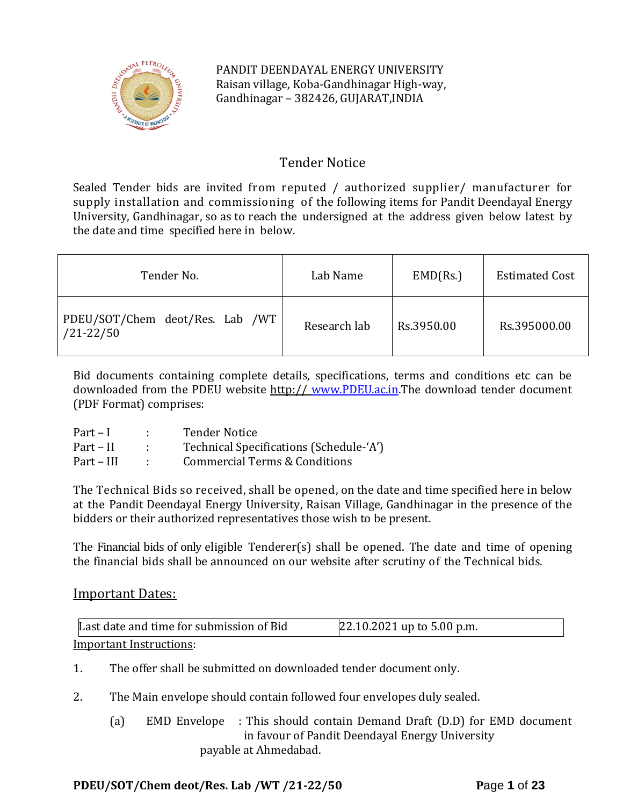

PANDIT DEENDAYAL ENERGY UNIVERSITY Raisan village, Koba-Gandhinagar High-way, Gandhinagar – 382426, GUJARAT,INDIA

# Tender Notice

Sealed Tender bids are invited from reputed / authorized supplier/ manufacturer for supply installation and commissioning of the following items for Pandit Deendayal Energy University, Gandhinagar, so as to reach the undersigned at the address given below latest by the date and time specified here in below.

| Tender No.                                       | Lab Name     | EMD(Rs.)   | <b>Estimated Cost</b> |
|--------------------------------------------------|--------------|------------|-----------------------|
| PDEU/SOT/Chem deot/Res. Lab /WT<br>$/21 - 22/50$ | Research lab | Rs.3950.00 | Rs.395000.00          |

Bid documents containing complete details, specifications, terms and conditions etc can be downloaded from the PDEU website http:// [www.PDEU.ac.in.](http://www.pdpu.ac.in/)The download tender document (PDF Format) comprises:

| $Part-I$   | <b>Tender Notice</b>                    |
|------------|-----------------------------------------|
| Part – II  | Technical Specifications (Schedule-'A') |
| Part – III | Commercial Terms & Conditions           |

The Technical Bids so received, shall be opened, on the date and time specified here in below at the Pandit Deendayal Energy University, Raisan Village, Gandhinagar in the presence of the bidders or their authorized representatives those wish to be present.

The Financial bids of only eligible Tenderer(s) shall be opened. The date and time of opening the financial bids shall be announced on our website after scrutiny of the Technical bids.

# Important Dates:

| Last date and time for submission of Bid | $22.10.2021$ up to 5.00 p.m. |
|------------------------------------------|------------------------------|
| Important Instructions:                  |                              |

1. The offer shall be submitted on downloaded tender document only.

- 2. The Main envelope should contain followed four envelopes duly sealed.
	- (a) EMD Envelope : This should contain Demand Draft (D.D) for EMD document in favour of Pandit Deendayal Energy University payable at Ahmedabad.

# **PDEU/SOT/Chem deot/Res. Lab /WT /21-22/50 P**age **1** of **23**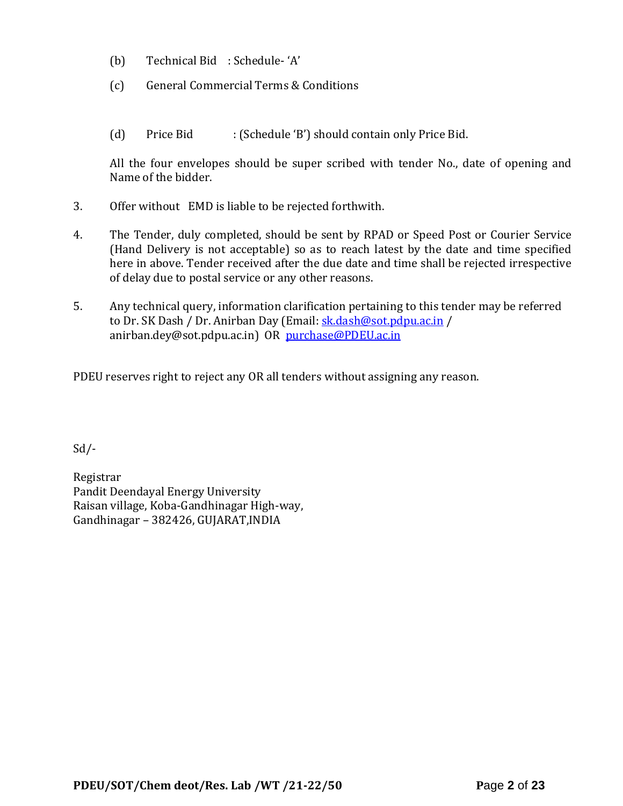- (b) Technical Bid : Schedule- 'A'
- (c) General Commercial Terms & Conditions
- (d) Price Bid : (Schedule 'B') should contain only Price Bid.

All the four envelopes should be super scribed with tender No., date of opening and Name of the bidder.

- 3. Offer without EMD is liable to be rejected forthwith.
- 4. The Tender, duly completed, should be sent by RPAD or Speed Post or Courier Service (Hand Delivery is not acceptable) so as to reach latest by the date and time specified here in above. Tender received after the due date and time shall be rejected irrespective of delay due to postal service or any other reasons.
- 5. Any technical query, information clarification pertaining to this tender may be referred to Dr. SK Dash / Dr. Anirban Day (Email: [sk.dash@sot.pdpu.ac.in](mailto:sk.dash@sot.pdpu.ac.in) / anirban.dey@sot.pdpu.ac.in) OR [purchase@PDEU.ac.in](mailto:purchase@pdpu.ac.in)

PDEU reserves right to reject any OR all tenders without assigning any reason.

Sd/-

Registrar Pandit Deendayal Energy University Raisan village, Koba-Gandhinagar High-way, Gandhinagar – 382426, GUJARAT,INDIA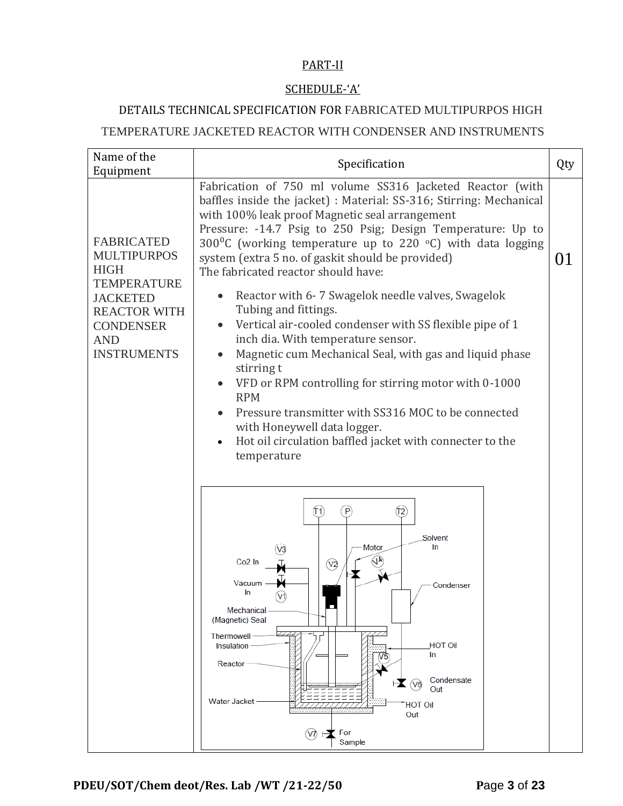## PART-II

## SCHEDULE-'A'

# DETAILS TECHNICAL SPECIFICATION FOR FABRICATED MULTIPURPOS HIGH

# TEMPERATURE JACKETED REACTOR WITH CONDENSER AND INSTRUMENTS

| Name of the                                                                                                          | Specification<br>Qty                                                                                                                                                                                                                                                                                                                                                                                                                                                                                                                                                                                                                             |    |  |
|----------------------------------------------------------------------------------------------------------------------|--------------------------------------------------------------------------------------------------------------------------------------------------------------------------------------------------------------------------------------------------------------------------------------------------------------------------------------------------------------------------------------------------------------------------------------------------------------------------------------------------------------------------------------------------------------------------------------------------------------------------------------------------|----|--|
| Equipment<br><b>FABRICATED</b><br><b>MULTIPURPOS</b><br><b>HIGH</b>                                                  | Fabrication of 750 ml volume SS316 Jacketed Reactor (with<br>baffles inside the jacket) : Material: SS-316; Stirring: Mechanical<br>with 100% leak proof Magnetic seal arrangement<br>Pressure: -14.7 Psig to 250 Psig; Design Temperature: Up to<br>300 <sup>o</sup> C (working temperature up to 220 <sup>o</sup> C) with data logging<br>system (extra 5 no. of gaskit should be provided)<br>The fabricated reactor should have:                                                                                                                                                                                                             | 01 |  |
| <b>TEMPERATURE</b><br><b>JACKETED</b><br><b>REACTOR WITH</b><br><b>CONDENSER</b><br><b>AND</b><br><b>INSTRUMENTS</b> | Reactor with 6-7 Swagelok needle valves, Swagelok<br>$\bullet$<br>Tubing and fittings.<br>Vertical air-cooled condenser with SS flexible pipe of 1<br>$\bullet$<br>inch dia. With temperature sensor.<br>Magnetic cum Mechanical Seal, with gas and liquid phase<br>$\bullet$<br>stirring t<br>VFD or RPM controlling for stirring motor with 0-1000<br><b>RPM</b><br>Pressure transmitter with SS316 MOC to be connected<br>with Honeywell data logger.<br>Hot oil circulation baffled jacket with connecter to the<br>temperature<br>$\widehat{r_2}$<br>(T1<br>P<br>Solvent<br>Motor<br>In<br>JA<br>Co <sub>2</sub> In<br>$\sqrt{2}$<br>Vacuum |    |  |
|                                                                                                                      | Condenser<br>In<br>Mechanical<br>(Magnetic) Seal<br><b>Thermowell</b><br><b>HOT Oil</b><br>Insulation<br>In<br>V5<br>Reactor<br>Condensate<br>$\mathbf{R}$ (ve)<br>Out<br>Water Jacket<br><b>HOT Oil</b><br>Out                                                                                                                                                                                                                                                                                                                                                                                                                                  |    |  |
|                                                                                                                      | $(\sqrt{7})$ $\rightarrow \infty$ For<br>Sample                                                                                                                                                                                                                                                                                                                                                                                                                                                                                                                                                                                                  |    |  |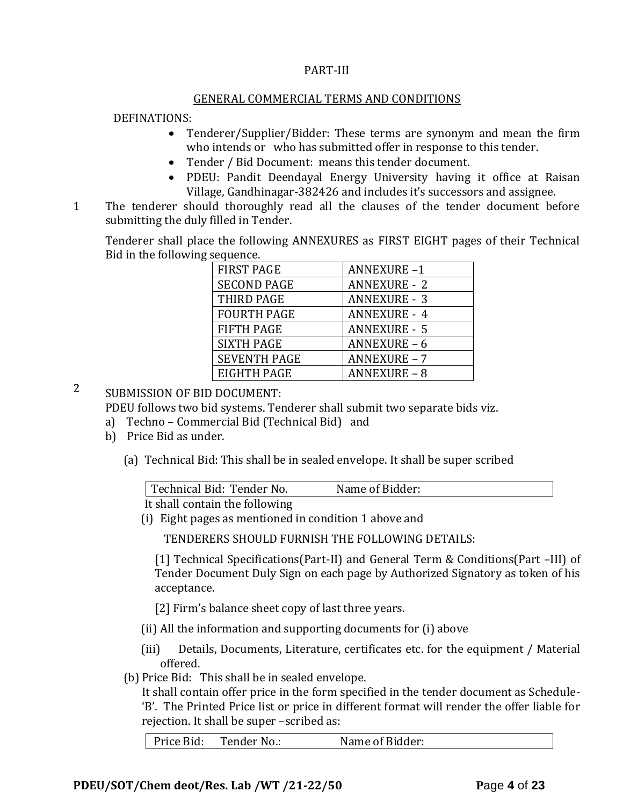#### PART-III

#### GENERAL COMMERCIAL TERMS AND CONDITIONS

#### DEFINATIONS:

- Tenderer/Supplier/Bidder: These terms are synonym and mean the firm who intends or who has submitted offer in response to this tender.
- Tender / Bid Document: means this tender document.
- PDEU: Pandit Deendayal Energy University having it office at Raisan Village, Gandhinagar-382426 and includes it's successors and assignee.
- 11. The tenderer should thoroughly read all the clauses of the tender document before submitting the duly filled in Tender.

Tenderer shall place the following ANNEXURES as FIRST EIGHT pages of their Technical Bid in the following sequence.

| <b>FIRST PAGE</b>   | <b>ANNEXURE-1</b>   |
|---------------------|---------------------|
| <b>SECOND PAGE</b>  | <b>ANNEXURE - 2</b> |
| THIRD PAGE          | <b>ANNEXURE - 3</b> |
| <b>FOURTH PAGE</b>  | <b>ANNEXURE - 4</b> |
| <b>FIFTH PAGE</b>   | <b>ANNEXURE - 5</b> |
| <b>SIXTH PAGE</b>   | <b>ANNEXURE - 6</b> |
| <b>SEVENTH PAGE</b> | <b>ANNEXURE - 7</b> |
| <b>EIGHTH PAGE</b>  | <b>ANNEXURE - 8</b> |

2 SUBMISSION OF BID DOCUMENT:

PDEU follows two bid systems. Tenderer shall submit two separate bids viz.

- a) Techno Commercial Bid (Technical Bid) and
- b) Price Bid as under.
	- (a) Technical Bid: This shall be in sealed envelope. It shall be super scribed

| Technical Bid: Tender No.      | Name of Bidder: |
|--------------------------------|-----------------|
| It shall contain the following |                 |

It shall contain the following

(i) Eight pages as mentioned in condition 1 above and

TENDERERS SHOULD FURNISH THE FOLLOWING DETAILS:

[1] Technical Specifications(Part-II) and General Term & Conditions(Part –III) of Tender Document Duly Sign on each page by Authorized Signatory as token of his acceptance.

[2] Firm's balance sheet copy of last three years.

- (ii) All the information and supporting documents for (i) above
- (iii) Details, Documents, Literature, certificates etc. for the equipment / Material offered.
- (b) Price Bid: This shall be in sealed envelope.

It shall contain offer price in the form specified in the tender document as Schedule- 'B'. The Printed Price list or price in different format will render the offer liable for rejection. It shall be super –scribed as:

Price Bid: Tender No.: Name of Bidder: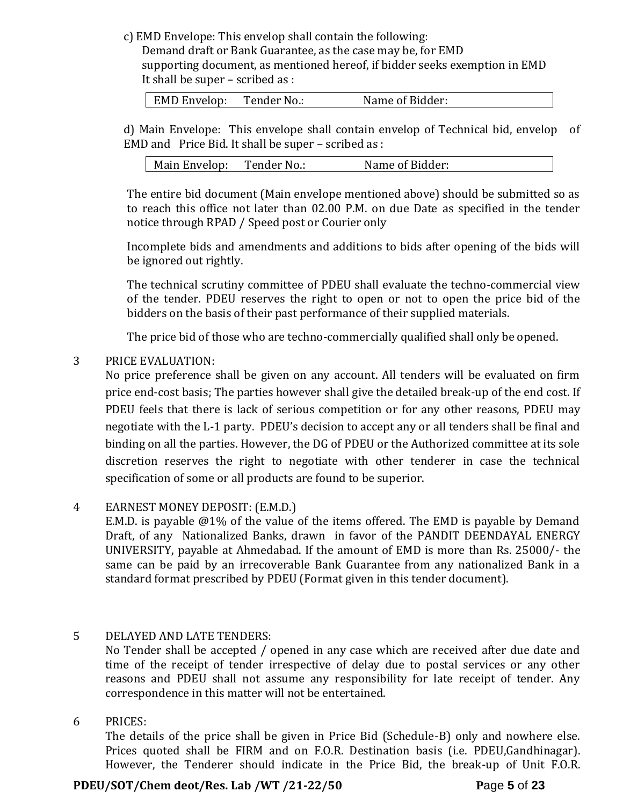c) EMD Envelope: This envelop shall contain the following:

Demand draft or Bank Guarantee, as the case may be, for EMD supporting document, as mentioned hereof, if bidder seeks exemption in EMD It shall be super – scribed as :

| <b>EMD Envelop:</b> | Tender No.: | Name of Bidder: |
|---------------------|-------------|-----------------|
|                     |             |                 |

d) Main Envelope: This envelope shall contain envelop of Technical bid, envelop of EMD and Price Bid. It shall be super – scribed as :

| Tender No.:<br>Main Envelop: | Name of Bidder: |
|------------------------------|-----------------|
|------------------------------|-----------------|

The entire bid document (Main envelope mentioned above) should be submitted so as to reach this office not later than 02.00 P.M. on due Date as specified in the tender notice through RPAD / Speed post or Courier only

Incomplete bids and amendments and additions to bids after opening of the bids will be ignored out rightly.

The technical scrutiny committee of PDEU shall evaluate the techno-commercial view of the tender. PDEU reserves the right to open or not to open the price bid of the bidders on the basis of their past performance of their supplied materials.

The price bid of those who are techno-commercially qualified shall only be opened.

## 3 PRICE EVALUATION:

No price preference shall be given on any account. All tenders will be evaluated on firm price end-cost basis; The parties however shall give the detailed break-up of the end cost. If PDEU feels that there is lack of serious competition or for any other reasons, PDEU may negotiate with the L-1 party. PDEU's decision to accept any or all tenders shall be final and binding on all the parties. However, the DG of PDEU or the Authorized committee at its sole discretion reserves the right to negotiate with other tenderer in case the technical specification of some or all products are found to be superior.

## 4 EARNEST MONEY DEPOSIT: (E.M.D.)

E.M.D. is payable @1% of the value of the items offered. The EMD is payable by Demand Draft, of any Nationalized Banks, drawn in favor of the PANDIT DEENDAYAL ENERGY UNIVERSITY, payable at Ahmedabad. If the amount of EMD is more than Rs. 25000/- the same can be paid by an irrecoverable Bank Guarantee from any nationalized Bank in a standard format prescribed by PDEU (Format given in this tender document).

## 5 DELAYED AND LATE TENDERS:

No Tender shall be accepted / opened in any case which are received after due date and time of the receipt of tender irrespective of delay due to postal services or any other reasons and PDEU shall not assume any responsibility for late receipt of tender. Any correspondence in this matter will not be entertained.

## 6 PRICES:

The details of the price shall be given in Price Bid (Schedule-B) only and nowhere else. Prices quoted shall be FIRM and on F.O.R. Destination basis (i.e. PDEU,Gandhinagar). However, the Tenderer should indicate in the Price Bid, the break-up of Unit F.O.R.

## **PDEU/SOT/Chem deot/Res. Lab /WT /21-22/50 P**age **5** of **23**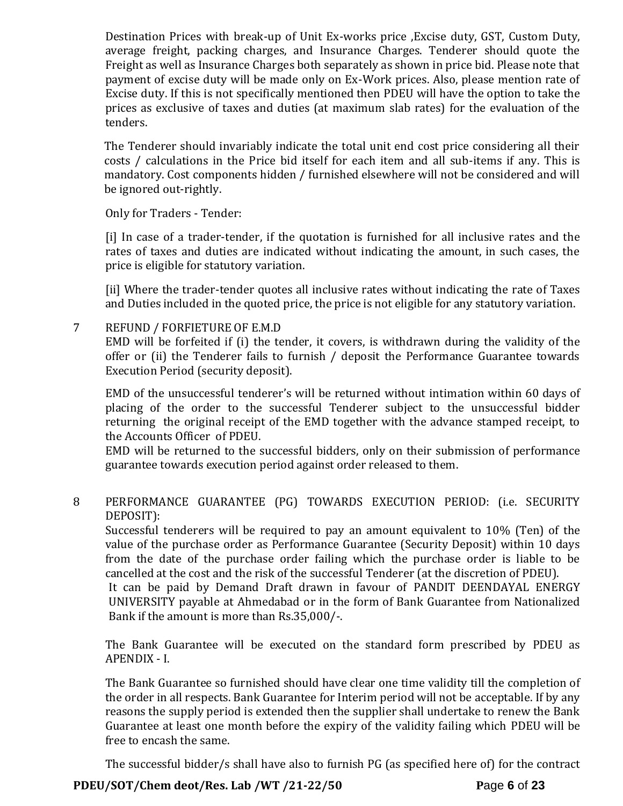Destination Prices with break-up of Unit Ex-works price ,Excise duty, GST, Custom Duty, average freight, packing charges, and Insurance Charges. Tenderer should quote the Freight as well as Insurance Charges both separately as shown in price bid. Please note that payment of excise duty will be made only on Ex-Work prices. Also, please mention rate of Excise duty. If this is not specifically mentioned then PDEU will have the option to take the prices as exclusive of taxes and duties (at maximum slab rates) for the evaluation of the tenders.

The Tenderer should invariably indicate the total unit end cost price considering all their costs / calculations in the Price bid itself for each item and all sub-items if any. This is mandatory. Cost components hidden / furnished elsewhere will not be considered and will be ignored out-rightly.

Only for Traders - Tender:

[i] In case of a trader-tender, if the quotation is furnished for all inclusive rates and the rates of taxes and duties are indicated without indicating the amount, in such cases, the price is eligible for statutory variation.

[ii] Where the trader-tender quotes all inclusive rates without indicating the rate of Taxes and Duties included in the quoted price, the price is not eligible for any statutory variation.

7 REFUND / FORFIETURE OF E.M.D EMD will be forfeited if (i) the tender, it covers, is withdrawn during the validity of the offer or (ii) the Tenderer fails to furnish / deposit the Performance Guarantee towards Execution Period (security deposit).

EMD of the unsuccessful tenderer's will be returned without intimation within 60 days of placing of the order to the successful Tenderer subject to the unsuccessful bidder returning the original receipt of the EMD together with the advance stamped receipt, to the Accounts Officer of PDEU.

EMD will be returned to the successful bidders, only on their submission of performance guarantee towards execution period against order released to them.

8 PERFORMANCE GUARANTEE (PG) TOWARDS EXECUTION PERIOD: (i.e. SECURITY DEPOSIT):

Successful tenderers will be required to pay an amount equivalent to 10% (Ten) of the value of the purchase order as Performance Guarantee (Security Deposit) within 10 days from the date of the purchase order failing which the purchase order is liable to be cancelled at the cost and the risk of the successful Tenderer (at the discretion of PDEU).

It can be paid by Demand Draft drawn in favour of PANDIT DEENDAYAL ENERGY UNIVERSITY payable at Ahmedabad or in the form of Bank Guarantee from Nationalized Bank if the amount is more than Rs.35,000/-.

The Bank Guarantee will be executed on the standard form prescribed by PDEU as APENDIX - I.

The Bank Guarantee so furnished should have clear one time validity till the completion of the order in all respects. Bank Guarantee for Interim period will not be acceptable. If by any reasons the supply period is extended then the supplier shall undertake to renew the Bank Guarantee at least one month before the expiry of the validity failing which PDEU will be free to encash the same.

The successful bidder/s shall have also to furnish PG (as specified here of) for the contract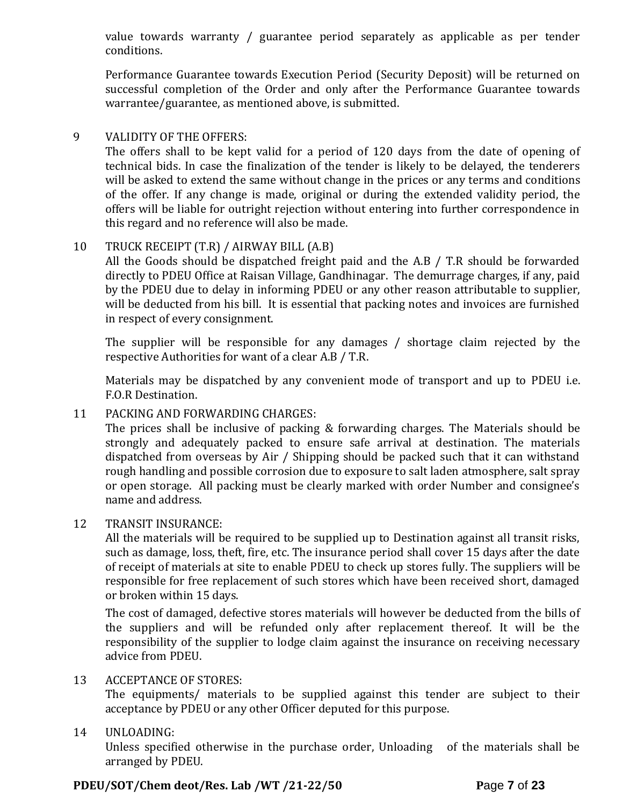value towards warranty / guarantee period separately as applicable as per tender conditions.

Performance Guarantee towards Execution Period (Security Deposit) will be returned on successful completion of the Order and only after the Performance Guarantee towards warrantee/guarantee, as mentioned above, is submitted.

## 9 VALIDITY OF THE OFFERS:

The offers shall to be kept valid for a period of 120 days from the date of opening of technical bids. In case the finalization of the tender is likely to be delayed, the tenderers will be asked to extend the same without change in the prices or any terms and conditions of the offer. If any change is made, original or during the extended validity period, the offers will be liable for outright rejection without entering into further correspondence in this regard and no reference will also be made.

# 10 TRUCK RECEIPT (T.R) / AIRWAY BILL (A.B)

All the Goods should be dispatched freight paid and the A.B / T.R should be forwarded directly to PDEU Office at Raisan Village, Gandhinagar. The demurrage charges, if any, paid by the PDEU due to delay in informing PDEU or any other reason attributable to supplier, will be deducted from his bill. It is essential that packing notes and invoices are furnished in respect of every consignment.

The supplier will be responsible for any damages / shortage claim rejected by the respective Authorities for want of a clear A.B / T.R.

Materials may be dispatched by any convenient mode of transport and up to PDEU i.e. F.O.R Destination.

# 11 PACKING AND FORWARDING CHARGES:

The prices shall be inclusive of packing & forwarding charges. The Materials should be strongly and adequately packed to ensure safe arrival at destination. The materials dispatched from overseas by Air / Shipping should be packed such that it can withstand rough handling and possible corrosion due to exposure to salt laden atmosphere, salt spray or open storage. All packing must be clearly marked with order Number and consignee's name and address.

## 12 TRANSIT INSURANCE:

All the materials will be required to be supplied up to Destination against all transit risks, such as damage, loss, theft, fire, etc. The insurance period shall cover 15 days after the date of receipt of materials at site to enable PDEU to check up stores fully. The suppliers will be responsible for free replacement of such stores which have been received short, damaged or broken within 15 days.

The cost of damaged, defective stores materials will however be deducted from the bills of the suppliers and will be refunded only after replacement thereof. It will be the responsibility of the supplier to lodge claim against the insurance on receiving necessary advice from PDEU.

## 13 ACCEPTANCE OF STORES:

The equipments/ materials to be supplied against this tender are subject to their acceptance by PDEU or any other Officer deputed for this purpose.

# 14 UNLOADING:

Unless specified otherwise in the purchase order, Unloading of the materials shall be arranged by PDEU.

# **PDEU/SOT/Chem deot/Res. Lab /WT /21-22/50 P**age **7** of **23**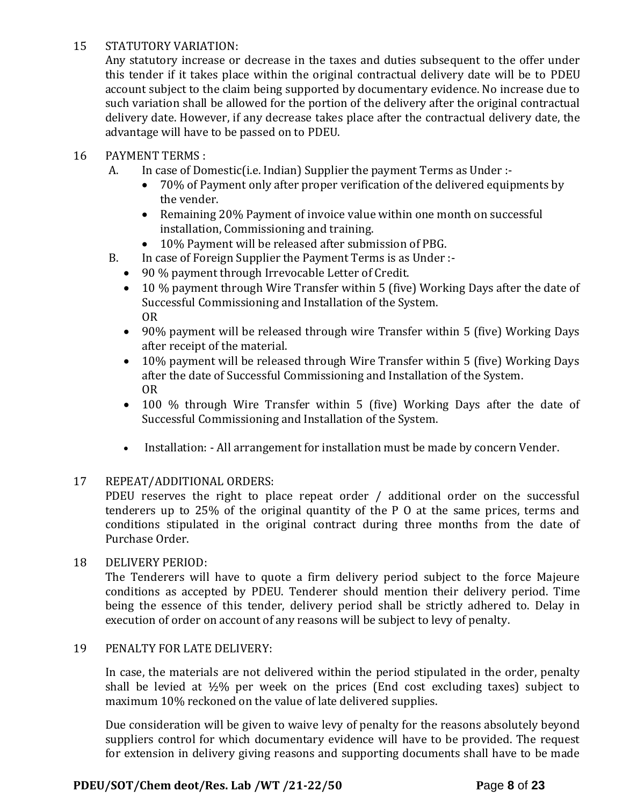## 15 STATUTORY VARIATION:

Any statutory increase or decrease in the taxes and duties subsequent to the offer under this tender if it takes place within the original contractual delivery date will be to PDEU account subject to the claim being supported by documentary evidence. No increase due to such variation shall be allowed for the portion of the delivery after the original contractual delivery date. However, if any decrease takes place after the contractual delivery date, the advantage will have to be passed on to PDEU.

## 16 PAYMENT TERMS :

- A. In case of Domestic(i.e. Indian) Supplier the payment Terms as Under :-
	- 70% of Payment only after proper verification of the delivered equipments by the vender.
	- Remaining 20% Payment of invoice value within one month on successful installation, Commissioning and training.
	- 10% Payment will be released after submission of PBG.
- B. In case of Foreign Supplier the Payment Terms is as Under :-
	- 90 % payment through Irrevocable Letter of Credit.
	- 10 % payment through Wire Transfer within 5 (five) Working Days after the date of Successful Commissioning and Installation of the System. OR
	- 90% payment will be released through wire Transfer within 5 (five) Working Days after receipt of the material.
	- 10% payment will be released through Wire Transfer within 5 (five) Working Days after the date of Successful Commissioning and Installation of the System. OR
	- 100 % through Wire Transfer within 5 (five) Working Days after the date of Successful Commissioning and Installation of the System.
	- Installation: All arrangement for installation must be made by concern Vender.

# 17 REPEAT/ADDITIONAL ORDERS:

PDEU reserves the right to place repeat order / additional order on the successful tenderers up to 25% of the original quantity of the P O at the same prices, terms and conditions stipulated in the original contract during three months from the date of Purchase Order.

# 18 DELIVERY PERIOD:

The Tenderers will have to quote a firm delivery period subject to the force Majeure conditions as accepted by PDEU. Tenderer should mention their delivery period. Time being the essence of this tender, delivery period shall be strictly adhered to. Delay in execution of order on account of any reasons will be subject to levy of penalty.

## 19 PENALTY FOR LATE DELIVERY:

In case, the materials are not delivered within the period stipulated in the order, penalty shall be levied at  $\frac{1}{2}\%$  per week on the prices (End cost excluding taxes) subject to maximum 10% reckoned on the value of late delivered supplies.

Due consideration will be given to waive levy of penalty for the reasons absolutely beyond suppliers control for which documentary evidence will have to be provided. The request for extension in delivery giving reasons and supporting documents shall have to be made

# **PDEU/SOT/Chem deot/Res. Lab /WT /21-22/50 P**age **8** of **23**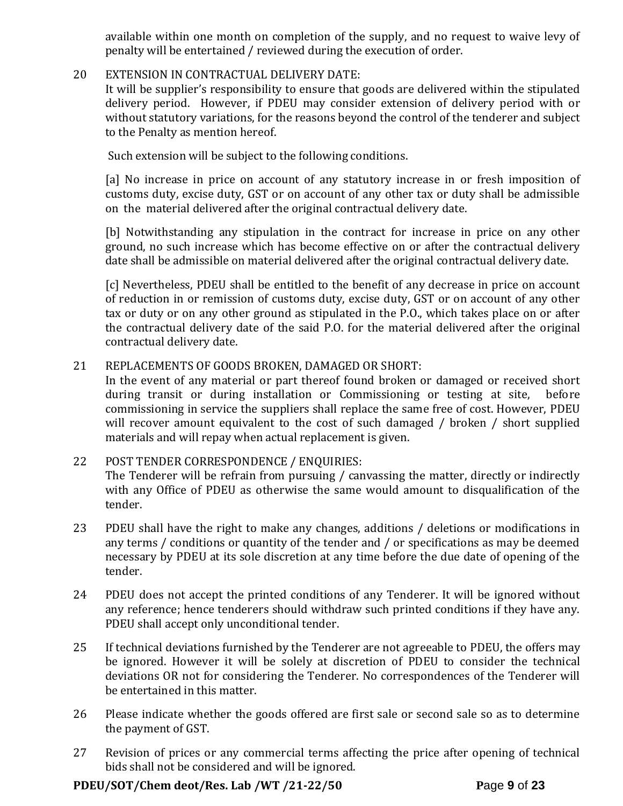available within one month on completion of the supply, and no request to waive levy of penalty will be entertained / reviewed during the execution of order.

## 20 EXTENSION IN CONTRACTUAL DELIVERY DATE:

It will be supplier's responsibility to ensure that goods are delivered within the stipulated delivery period. However, if PDEU may consider extension of delivery period with or without statutory variations, for the reasons beyond the control of the tenderer and subject to the Penalty as mention hereof.

Such extension will be subject to the following conditions.

[a] No increase in price on account of any statutory increase in or fresh imposition of customs duty, excise duty, GST or on account of any other tax or duty shall be admissible on the material delivered after the original contractual delivery date.

[b] Notwithstanding any stipulation in the contract for increase in price on any other ground, no such increase which has become effective on or after the contractual delivery date shall be admissible on material delivered after the original contractual delivery date.

[c] Nevertheless, PDEU shall be entitled to the benefit of any decrease in price on account of reduction in or remission of customs duty, excise duty, GST or on account of any other tax or duty or on any other ground as stipulated in the P.O., which takes place on or after the contractual delivery date of the said P.O. for the material delivered after the original contractual delivery date.

## 21 REPLACEMENTS OF GOODS BROKEN, DAMAGED OR SHORT:

In the event of any material or part thereof found broken or damaged or received short during transit or during installation or Commissioning or testing at site, before commissioning in service the suppliers shall replace the same free of cost. However, PDEU will recover amount equivalent to the cost of such damaged / broken / short supplied materials and will repay when actual replacement is given.

## 22 POST TENDER CORRESPONDENCE / ENQUIRIES: The Tenderer will be refrain from pursuing / canvassing the matter, directly or indirectly with any Office of PDEU as otherwise the same would amount to disqualification of the tender.

- 23 PDEU shall have the right to make any changes, additions / deletions or modifications in any terms / conditions or quantity of the tender and / or specifications as may be deemed necessary by PDEU at its sole discretion at any time before the due date of opening of the tender.
- 24 PDEU does not accept the printed conditions of any Tenderer. It will be ignored without any reference; hence tenderers should withdraw such printed conditions if they have any. PDEU shall accept only unconditional tender.
- 25 If technical deviations furnished by the Tenderer are not agreeable to PDEU, the offers may be ignored. However it will be solely at discretion of PDEU to consider the technical deviations OR not for considering the Tenderer. No correspondences of the Tenderer will be entertained in this matter.
- 26 Please indicate whether the goods offered are first sale or second sale so as to determine the payment of GST.
- 27 Revision of prices or any commercial terms affecting the price after opening of technical bids shall not be considered and will be ignored.

## **PDEU/SOT/Chem deot/Res. Lab /WT /21-22/50 P**age **9** of **23**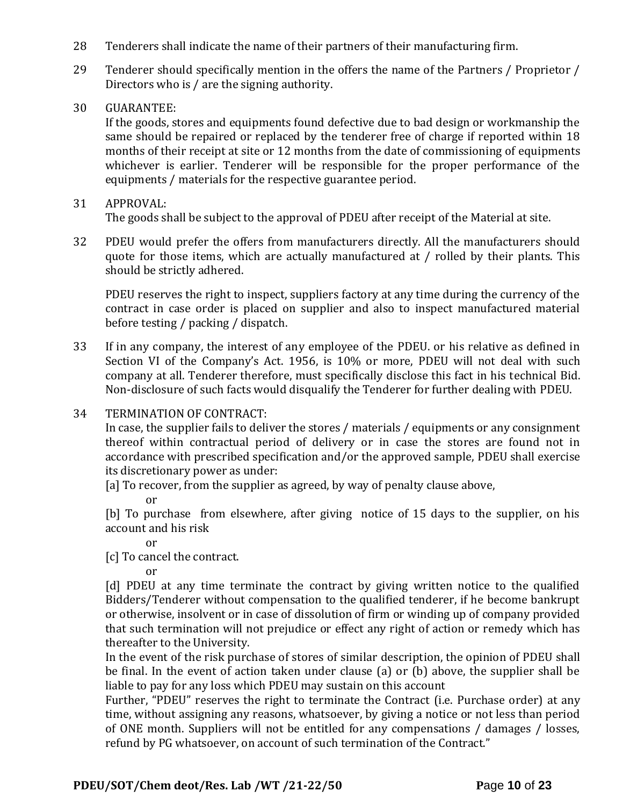- 28 Tenderers shall indicate the name of their partners of their manufacturing firm.
- 29 Tenderer should specifically mention in the offers the name of the Partners / Proprietor / Directors who is / are the signing authority.
- 30 GUARANTEE:

If the goods, stores and equipments found defective due to bad design or workmanship the same should be repaired or replaced by the tenderer free of charge if reported within 18 months of their receipt at site or 12 months from the date of commissioning of equipments whichever is earlier. Tenderer will be responsible for the proper performance of the equipments / materials for the respective guarantee period.

#### 31 APPROVAL:

The goods shall be subject to the approval of PDEU after receipt of the Material at site.

32 PDEU would prefer the offers from manufacturers directly. All the manufacturers should quote for those items, which are actually manufactured at / rolled by their plants. This should be strictly adhered.

PDEU reserves the right to inspect, suppliers factory at any time during the currency of the contract in case order is placed on supplier and also to inspect manufactured material before testing / packing / dispatch.

- 33 If in any company, the interest of any employee of the PDEU. or his relative as defined in Section VI of the Company's Act. 1956, is 10% or more, PDEU will not deal with such company at all. Tenderer therefore, must specifically disclose this fact in his technical Bid. Non-disclosure of such facts would disqualify the Tenderer for further dealing with PDEU.
- 34 TERMINATION OF CONTRACT:

In case, the supplier fails to deliver the stores / materials / equipments or any consignment thereof within contractual period of delivery or in case the stores are found not in accordance with prescribed specification and/or the approved sample, PDEU shall exercise its discretionary power as under:

[a] To recover, from the supplier as agreed, by way of penalty clause above,

or

[b] To purchase from elsewhere, after giving notice of 15 days to the supplier, on his account and his risk

or

[c] To cancel the contract.

or

[d] PDEU at any time terminate the contract by giving written notice to the qualified Bidders/Tenderer without compensation to the qualified tenderer, if he become bankrupt or otherwise, insolvent or in case of dissolution of firm or winding up of company provided that such termination will not prejudice or effect any right of action or remedy which has thereafter to the University.

In the event of the risk purchase of stores of similar description, the opinion of PDEU shall be final. In the event of action taken under clause (a) or (b) above, the supplier shall be liable to pay for any loss which PDEU may sustain on this account

Further, "PDEU" reserves the right to terminate the Contract (i.e. Purchase order) at any time, without assigning any reasons, whatsoever, by giving a notice or not less than period of ONE month. Suppliers will not be entitled for any compensations / damages / losses, refund by PG whatsoever, on account of such termination of the Contract."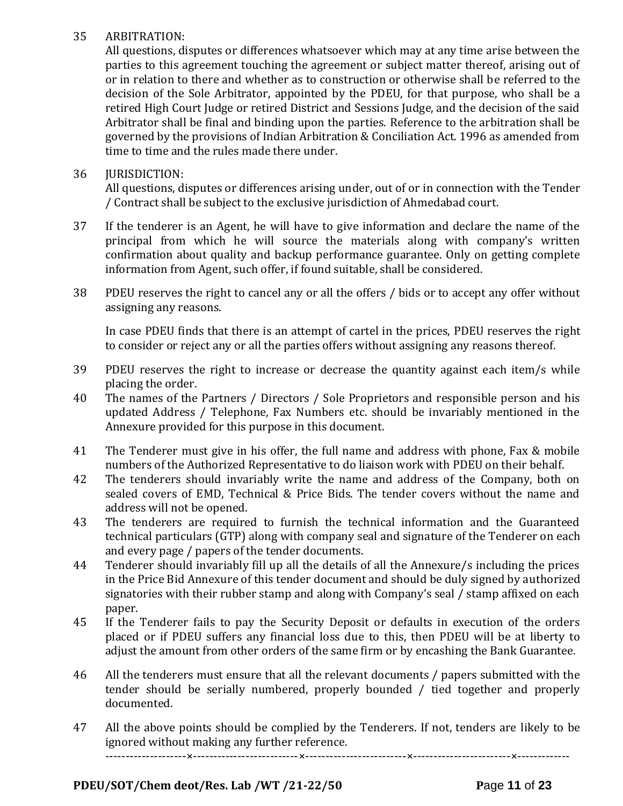# 35 ARBITRATION:

All questions, disputes or differences whatsoever which may at any time arise between the parties to this agreement touching the agreement or subject matter thereof, arising out of or in relation to there and whether as to construction or otherwise shall be referred to the decision of the Sole Arbitrator, appointed by the PDEU, for that purpose, who shall be a retired High Court Judge or retired District and Sessions Judge, and the decision of the said Arbitrator shall be final and binding upon the parties. Reference to the arbitration shall be governed by the provisions of Indian Arbitration & Conciliation Act. 1996 as amended from time to time and the rules made there under.

## 36 JURISDICTION:

All questions, disputes or differences arising under, out of or in connection with the Tender / Contract shall be subject to the exclusive jurisdiction of Ahmedabad court.

- 37 If the tenderer is an Agent, he will have to give information and declare the name of the principal from which he will source the materials along with company's written confirmation about quality and backup performance guarantee. Only on getting complete information from Agent, such offer, if found suitable, shall be considered.
- 38 PDEU reserves the right to cancel any or all the offers / bids or to accept any offer without assigning any reasons.

In case PDEU finds that there is an attempt of cartel in the prices, PDEU reserves the right to consider or reject any or all the parties offers without assigning any reasons thereof.

- 39 PDEU reserves the right to increase or decrease the quantity against each item/s while placing the order.
- 40 The names of the Partners / Directors / Sole Proprietors and responsible person and his updated Address / Telephone, Fax Numbers etc. should be invariably mentioned in the Annexure provided for this purpose in this document.
- 41 The Tenderer must give in his offer, the full name and address with phone, Fax & mobile numbers of the Authorized Representative to do liaison work with PDEU on their behalf.
- 42 The tenderers should invariably write the name and address of the Company, both on sealed covers of EMD, Technical & Price Bids. The tender covers without the name and address will not be opened.
- 43 The tenderers are required to furnish the technical information and the Guaranteed technical particulars (GTP) along with company seal and signature of the Tenderer on each and every page / papers of the tender documents.
- 44 Tenderer should invariably fill up all the details of all the Annexure/s including the prices in the Price Bid Annexure of this tender document and should be duly signed by authorized signatories with their rubber stamp and along with Company's seal / stamp affixed on each paper.
- 45 If the Tenderer fails to pay the Security Deposit or defaults in execution of the orders placed or if PDEU suffers any financial loss due to this, then PDEU will be at liberty to adjust the amount from other orders of the same firm or by encashing the Bank Guarantee.
- 46 All the tenderers must ensure that all the relevant documents / papers submitted with the tender should be serially numbered, properly bounded / tied together and properly documented.
- 47 All the above points should be complied by the Tenderers. If not, tenders are likely to be ignored without making any further reference.

--------------------×--------------------------×-------------------------×------------------------×-------------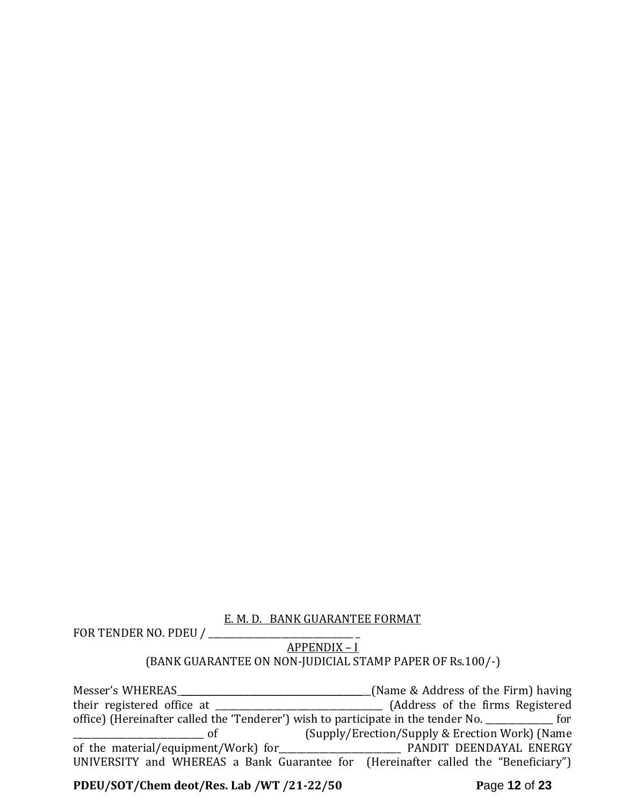## E. M. D. BANK GUARANTEE FORMAT

FOR TENDER NO. PDEU /

APPENDIX – I

# (BANK GUARANTEE ON NON-JUDICIAL STAMP PAPER OF Rs.100/-)

Messer's WHEREAS \_\_\_\_\_\_\_\_\_\_\_\_\_\_\_\_\_\_\_\_\_\_\_\_\_\_\_\_\_\_\_\_\_\_\_\_\_\_\_\_\_\_(Name & Address of the Firm) having their registered office at \_\_\_\_\_\_\_\_\_\_\_\_\_\_\_\_\_\_\_\_\_\_\_\_\_\_\_\_\_\_\_\_\_\_\_\_\_ (Address of the firms Registered office) (Hereinafter called the 'Tenderer') wish to participate in the tender No. \_\_\_\_\_\_\_\_\_\_\_\_\_\_\_ for \_\_\_\_\_\_\_\_\_\_\_\_\_\_\_\_\_\_\_\_\_\_\_\_\_\_\_\_\_ of (Supply/Erection/Supply & Erection Work) (Name of the material/equipment/Work) for UNIVERSITY and WHEREAS a Bank Guarantee for (Hereinafter called the "Beneficiary")

**PDEU/SOT/Chem deot/Res. Lab /WT /21-22/50 P**age **12** of **23**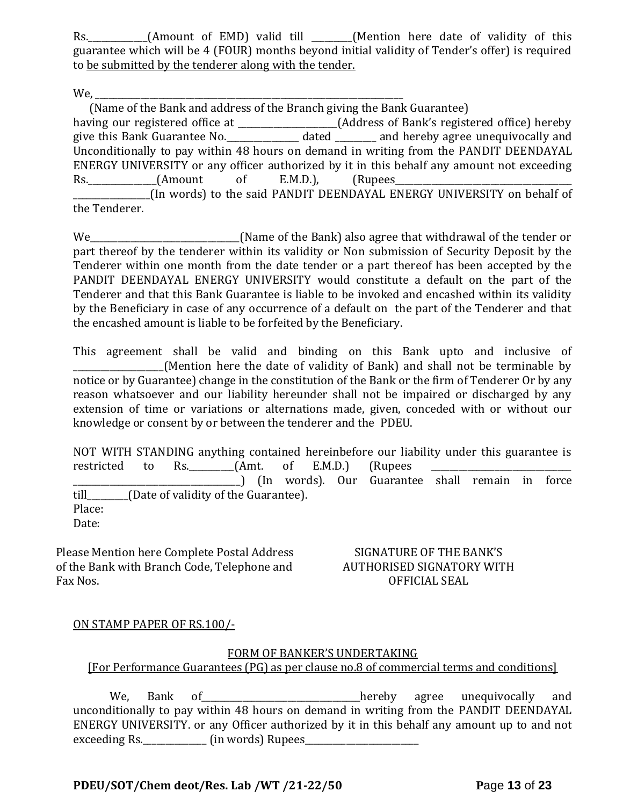Rs. \_\_\_\_\_\_\_\_\_\_(Amount of EMD) valid till \_\_\_\_\_\_(Mention here date of validity of this guarantee which will be 4 (FOUR) months beyond initial validity of Tender's offer) is required to be submitted by the tenderer along with the tender.

We,

 (Name of the Bank and address of the Branch giving the Bank Guarantee) having our registered office at \_\_\_\_\_\_\_\_\_\_\_\_\_\_\_\_\_\_\_\_(Address of Bank's registered office) hereby give this Bank Guarantee No.\_\_\_\_\_\_\_\_\_\_\_\_\_\_\_\_ dated \_\_\_\_\_\_\_\_\_ and hereby agree unequivocally and Unconditionally to pay within 48 hours on demand in writing from the PANDIT DEENDAYAL ENERGY UNIVERSITY or any officer authorized by it in this behalf any amount not exceeding Rs.\_\_\_\_\_\_\_\_\_\_\_\_\_\_\_(Amount of E.M.D.), (Rupees\_\_\_\_\_\_\_\_\_\_\_\_\_\_\_\_\_\_\_\_\_\_\_\_\_\_\_\_\_\_\_\_\_\_\_\_\_\_\_ \_\_\_\_\_\_\_\_\_\_\_\_\_\_\_\_\_(In words) to the said PANDIT DEENDAYAL ENERGY UNIVERSITY on behalf of the Tenderer.

We\_\_\_\_\_\_\_\_\_\_\_\_\_\_\_\_\_\_\_\_\_\_\_\_\_\_\_\_\_\_\_\_\_(Name of the Bank) also agree that withdrawal of the tender or part thereof by the tenderer within its validity or Non submission of Security Deposit by the Tenderer within one month from the date tender or a part thereof has been accepted by the PANDIT DEENDAYAL ENERGY UNIVERSITY would constitute a default on the part of the Tenderer and that this Bank Guarantee is liable to be invoked and encashed within its validity by the Beneficiary in case of any occurrence of a default on the part of the Tenderer and that the encashed amount is liable to be forfeited by the Beneficiary.

This agreement shall be valid and binding on this Bank upto and inclusive of \_\_\_\_\_\_\_\_\_\_\_\_\_\_\_\_\_\_\_\_(Mention here the date of validity of Bank) and shall not be terminable by notice or by Guarantee) change in the constitution of the Bank or the firm of Tenderer Or by any reason whatsoever and our liability hereunder shall not be impaired or discharged by any extension of time or variations or alternations made, given, conceded with or without our knowledge or consent by or between the tenderer and the PDEU.

NOT WITH STANDING anything contained hereinbefore our liability under this guarantee is restricted to Rs.  $\frac{1}{2}$  (Amt. of E.M.D.) (Rupees \_\_\_\_\_\_\_\_\_\_\_\_\_\_\_\_\_\_\_\_\_\_\_\_\_\_\_\_\_\_\_\_\_\_\_\_\_) (In words). Our Guarantee shall remain in force till\_\_\_\_\_\_\_\_\_(Date of validity of the Guarantee). Place: Date:

Please Mention here Complete Postal Address of the Bank with Branch Code, Telephone and Fax Nos.

SIGNATURE OF THE BANK'S AUTHORISED SIGNATORY WITH OFFICIAL SEAL

## ON STAMP PAPER OF RS.100/-

#### FORM OF BANKER'S UNDERTAKING

# [For Performance Guarantees (PG) as per clause no.8 of commercial terms and conditions]

We, Bank of \_\_\_\_\_\_\_\_\_\_\_\_\_\_\_\_\_\_\_hereby agree unequivocally and unconditionally to pay within 48 hours on demand in writing from the PANDIT DEENDAYAL ENERGY UNIVERSITY. or any Officer authorized by it in this behalf any amount up to and not exceeding Rs.\_\_\_\_\_\_\_\_\_\_\_\_\_\_ (in words) Rupees\_\_\_\_\_\_\_\_\_\_\_\_\_\_\_\_\_\_\_\_\_\_\_\_\_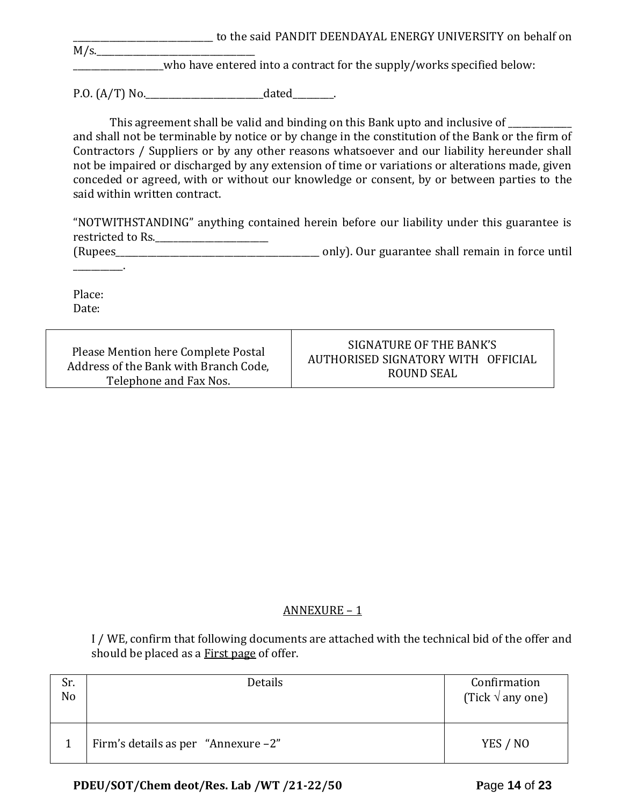to the said PANDIT DEENDAYAL ENERGY UNIVERSITY on behalf on  $M/s$ .

\_\_\_\_\_\_\_\_\_\_\_\_\_\_\_\_\_\_\_\_who have entered into a contract for the supply/works specified below:

P.O.  $(A/T)$  No.  $\qquad \qquad$  dated  $\qquad \qquad$ .

This agreement shall be valid and binding on this Bank upto and inclusive of \_\_\_\_\_\_\_\_\_ and shall not be terminable by notice or by change in the constitution of the Bank or the firm of Contractors / Suppliers or by any other reasons whatsoever and our liability hereunder shall not be impaired or discharged by any extension of time or variations or alterations made, given conceded or agreed, with or without our knowledge or consent, by or between parties to the said within written contract.

"NOTWITHSTANDING" anything contained herein before our liability under this guarantee is restricted to Rs.\_\_\_\_\_\_\_\_\_\_\_\_\_\_\_\_\_\_\_\_\_\_\_\_\_ (Rupees\_\_\_\_\_\_\_\_\_\_\_\_\_\_\_\_\_\_\_\_\_\_\_\_\_\_\_\_\_\_\_\_\_\_\_\_\_\_\_\_\_\_\_\_\_ only). Our guarantee shall remain in force until

\_\_\_\_\_\_\_\_\_\_\_.

Place: Date:

| Please Mention here Complete Postal   | SIGNATURE OF THE BANK'S            |
|---------------------------------------|------------------------------------|
| Address of the Bank with Branch Code, | AUTHORISED SIGNATORY WITH OFFICIAL |
| Telephone and Fax Nos.                | ROUND SEAL                         |

# ANNEXURE – 1

I / WE, confirm that following documents are attached with the technical bid of the offer and should be placed as a First page of offer.

| Sr.<br>N <sub>o</sub> | Details                                | Confirmation<br>(Tick $\sqrt{ }$ any one) |
|-----------------------|----------------------------------------|-------------------------------------------|
|                       | Firm's details as per "Annexure $-2$ " | YES / NO                                  |

# **PDEU/SOT/Chem deot/Res. Lab /WT /21-22/50 P**age **14** of **23**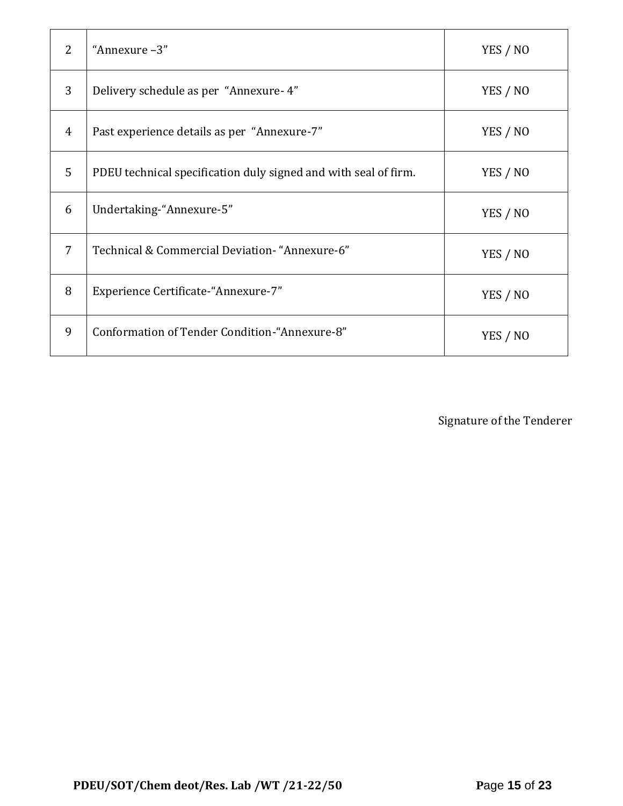| $\mathcal{L}$ | "Annexure-3"                                                    | YES / NO |
|---------------|-----------------------------------------------------------------|----------|
| 3             | Delivery schedule as per "Annexure-4"                           | YES / NO |
| 4             | Past experience details as per "Annexure-7"                     | YES / NO |
| 5             | PDEU technical specification duly signed and with seal of firm. | YES / NO |
| 6             | Undertaking-"Annexure-5"                                        | YES / NO |
| 7             | Technical & Commercial Deviation- "Annexure-6"                  | YES / NO |
| 8             | Experience Certificate-"Annexure-7"                             | YES / NO |
| 9             | Conformation of Tender Condition-"Annexure-8"                   | YES / NO |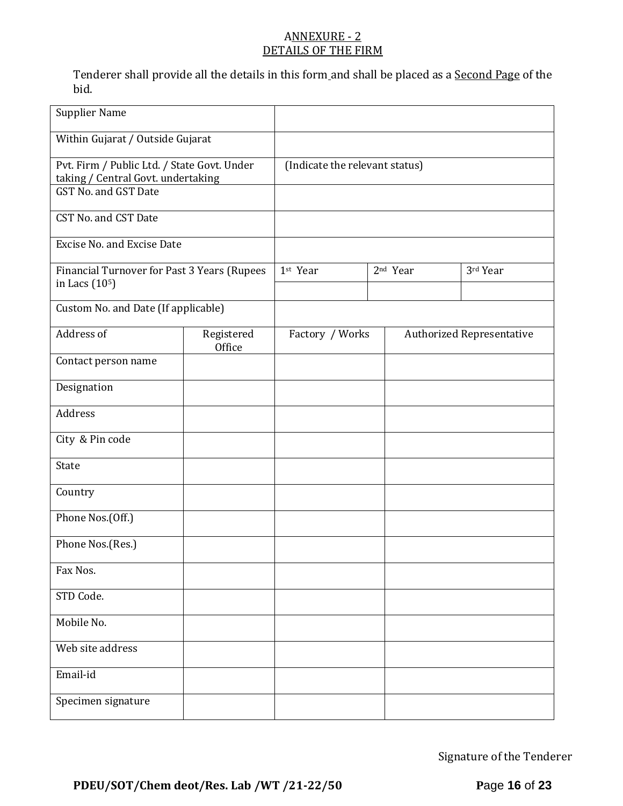## ANNEXURE - 2 DETAILS OF THE FIRM

Tenderer shall provide all the details in this form and shall be placed as a Second Page of the bid.

| <b>Supplier Name</b>                                                                                      |                      |                                |                                  |          |
|-----------------------------------------------------------------------------------------------------------|----------------------|--------------------------------|----------------------------------|----------|
| Within Gujarat / Outside Gujarat                                                                          |                      |                                |                                  |          |
| Pvt. Firm / Public Ltd. / State Govt. Under<br>taking / Central Govt. undertaking<br>GST No. and GST Date |                      | (Indicate the relevant status) |                                  |          |
| CST No. and CST Date                                                                                      |                      |                                |                                  |          |
| Excise No. and Excise Date                                                                                |                      |                                |                                  |          |
| Financial Turnover for Past 3 Years (Rupees<br>in Lacs (10 <sup>5</sup> )                                 |                      | 1st Year                       | 2 <sup>nd</sup> Year             | 3rd Year |
| Custom No. and Date (If applicable)                                                                       |                      |                                |                                  |          |
| Address of                                                                                                | Registered<br>Office | Factory / Works                | <b>Authorized Representative</b> |          |
| Contact person name                                                                                       |                      |                                |                                  |          |
| Designation                                                                                               |                      |                                |                                  |          |
| Address                                                                                                   |                      |                                |                                  |          |
| City & Pin code                                                                                           |                      |                                |                                  |          |
| State                                                                                                     |                      |                                |                                  |          |
| Country                                                                                                   |                      |                                |                                  |          |
| Phone Nos.(Off.)                                                                                          |                      |                                |                                  |          |
| Phone Nos.(Res.)                                                                                          |                      |                                |                                  |          |
| Fax Nos.                                                                                                  |                      |                                |                                  |          |
| STD Code.                                                                                                 |                      |                                |                                  |          |
| Mobile No.                                                                                                |                      |                                |                                  |          |
| Web site address                                                                                          |                      |                                |                                  |          |
| Email-id                                                                                                  |                      |                                |                                  |          |
| Specimen signature                                                                                        |                      |                                |                                  |          |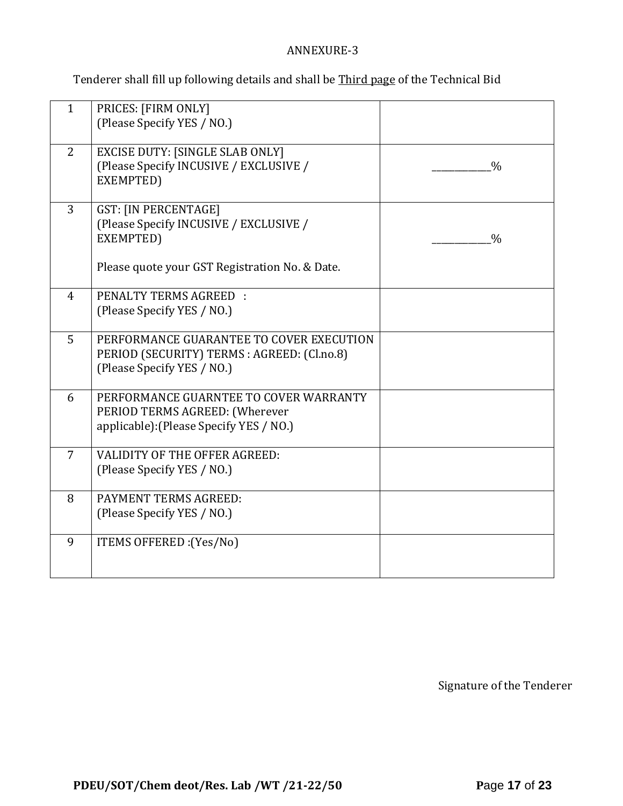## ANNEXURE-3

Tenderer shall fill up following details and shall be Third page of the Technical Bid

| $\mathbf{1}$   | PRICES: [FIRM ONLY]<br>(Please Specify YES / NO.)                                                                                    |               |
|----------------|--------------------------------------------------------------------------------------------------------------------------------------|---------------|
|                |                                                                                                                                      |               |
| 2              | <b>EXCISE DUTY: [SINGLE SLAB ONLY]</b><br>(Please Specify INCUSIVE / EXCLUSIVE /<br>EXEMPTED)                                        | $\frac{0}{0}$ |
| 3              | <b>GST: [IN PERCENTAGE]</b><br>(Please Specify INCUSIVE / EXCLUSIVE /<br>EXEMPTED)<br>Please quote your GST Registration No. & Date. | $\frac{0}{0}$ |
|                |                                                                                                                                      |               |
| $\overline{4}$ | <b>PENALTY TERMS AGREED:</b><br>(Please Specify YES / NO.)                                                                           |               |
| 5              | PERFORMANCE GUARANTEE TO COVER EXECUTION<br>PERIOD (SECURITY) TERMS : AGREED: (Cl.no.8)<br>(Please Specify YES / NO.)                |               |
| 6              | PERFORMANCE GUARNTEE TO COVER WARRANTY<br>PERIOD TERMS AGREED: (Wherever<br>applicable): (Please Specify YES / NO.)                  |               |
| $\overline{7}$ | <b>VALIDITY OF THE OFFER AGREED:</b><br>(Please Specify YES / NO.)                                                                   |               |
| 8              | PAYMENT TERMS AGREED:<br>(Please Specify YES / NO.)                                                                                  |               |
| 9              | ITEMS OFFERED : (Yes/No)                                                                                                             |               |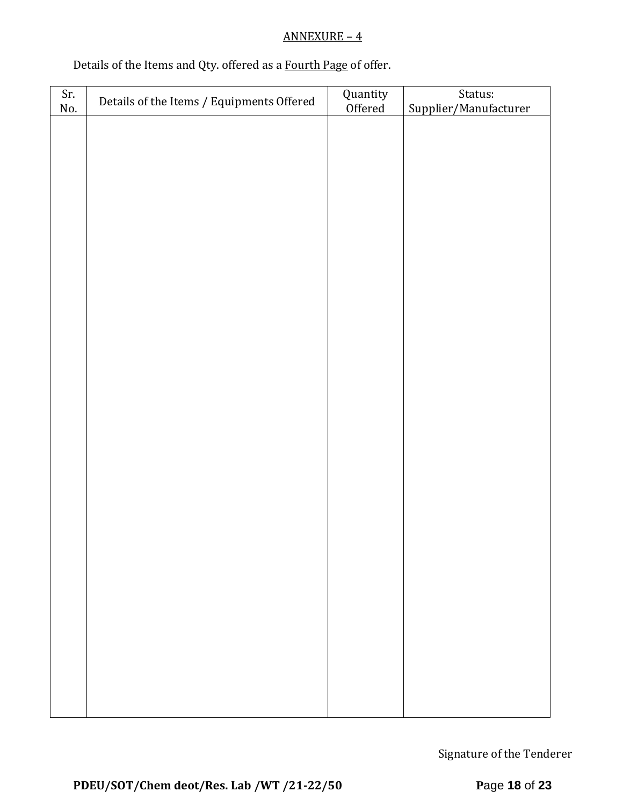# ANNEXURE – 4

# Details of the Items and Qty. offered as a Fourth Page of offer.

| Sr. | Details of the Items / Equipments Offered | Quantity<br>Offered | Status:               |  |  |  |
|-----|-------------------------------------------|---------------------|-----------------------|--|--|--|
| No. |                                           |                     | Supplier/Manufacturer |  |  |  |
|     |                                           |                     |                       |  |  |  |
|     |                                           |                     |                       |  |  |  |
|     |                                           |                     |                       |  |  |  |
|     |                                           |                     |                       |  |  |  |
|     |                                           |                     |                       |  |  |  |
|     |                                           |                     |                       |  |  |  |
|     |                                           |                     |                       |  |  |  |
|     |                                           |                     |                       |  |  |  |
|     |                                           |                     |                       |  |  |  |
|     |                                           |                     |                       |  |  |  |
|     |                                           |                     |                       |  |  |  |
|     |                                           |                     |                       |  |  |  |
|     |                                           |                     |                       |  |  |  |
|     |                                           |                     |                       |  |  |  |
|     |                                           |                     |                       |  |  |  |
|     |                                           |                     |                       |  |  |  |
|     |                                           |                     |                       |  |  |  |
|     |                                           |                     |                       |  |  |  |
|     |                                           |                     |                       |  |  |  |
|     |                                           |                     |                       |  |  |  |
|     |                                           |                     |                       |  |  |  |
|     |                                           |                     |                       |  |  |  |
|     |                                           |                     |                       |  |  |  |
|     |                                           |                     |                       |  |  |  |
|     |                                           |                     |                       |  |  |  |
|     |                                           |                     |                       |  |  |  |
|     |                                           |                     |                       |  |  |  |
|     |                                           |                     |                       |  |  |  |
|     |                                           |                     |                       |  |  |  |
|     |                                           |                     |                       |  |  |  |
|     |                                           |                     |                       |  |  |  |
|     |                                           |                     |                       |  |  |  |
|     |                                           |                     |                       |  |  |  |
|     |                                           |                     |                       |  |  |  |
|     |                                           |                     |                       |  |  |  |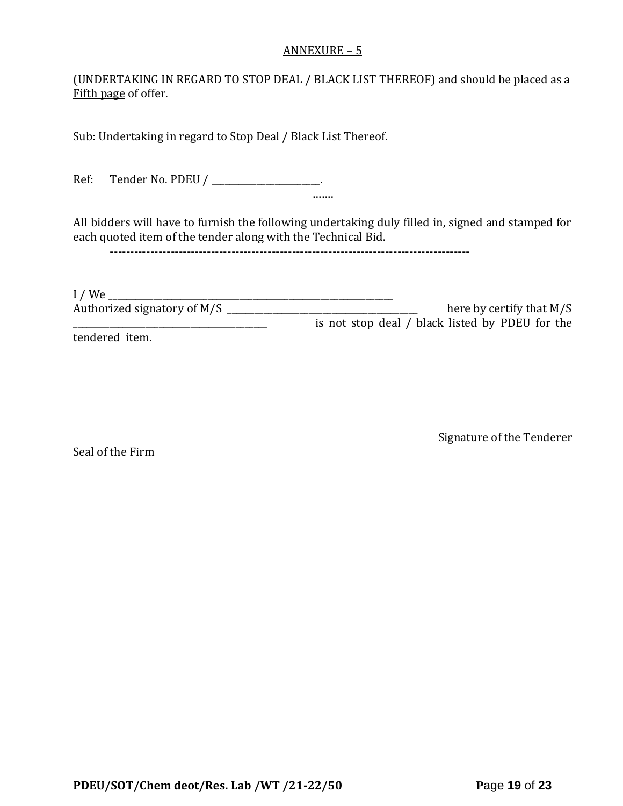#### ANNEXURE – 5

(UNDERTAKING IN REGARD TO STOP DEAL / BLACK LIST THEREOF) and should be placed as a Fifth page of offer.

Sub: Undertaking in regard to Stop Deal / Black List Thereof.

Ref: Tender No. PDEU / \_\_\_\_\_\_\_\_\_\_\_\_\_\_\_\_\_\_\_\_.

All bidders will have to furnish the following undertaking duly filled in, signed and stamped for each quoted item of the tender along with the Technical Bid.

…….

-----------------------------------------------------------------------------------------

I / We \_\_\_\_\_\_\_\_\_\_\_\_\_\_\_\_\_\_\_\_\_\_\_\_\_\_\_\_\_\_\_\_\_\_\_\_\_\_\_\_\_\_\_\_\_\_\_\_\_\_\_\_\_\_\_\_\_\_\_\_\_\_\_ Authorized signatory of M/S \_\_\_\_\_\_\_\_\_\_\_\_\_\_\_\_\_\_\_\_\_\_\_\_\_\_\_\_\_\_\_\_\_\_\_\_\_\_\_\_\_\_ here by certify that M/S \_\_\_\_\_\_\_\_\_\_\_\_\_\_\_\_\_\_\_\_\_\_\_\_\_\_\_\_\_\_\_\_\_\_\_\_\_\_\_\_\_\_\_ is not stop deal / black listed by PDEU for the tendered item.

Seal of the Firm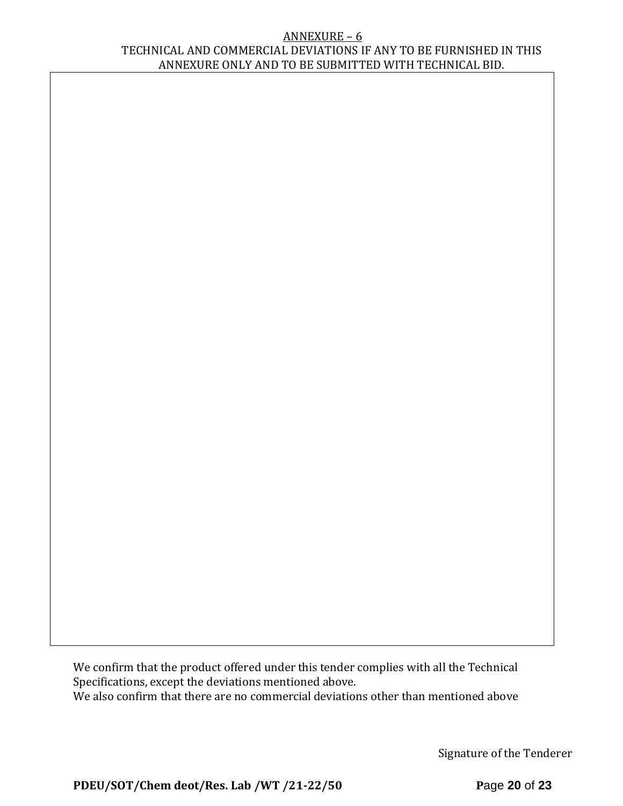#### ANNEXURE – 6 TECHNICAL AND COMMERCIAL DEVIATIONS IF ANY TO BE FURNISHED IN THIS ANNEXURE ONLY AND TO BE SUBMITTED WITH TECHNICAL BID.

We confirm that the product offered under this tender complies with all the Technical Specifications, except the deviations mentioned above. We also confirm that there are no commercial deviations other than mentioned above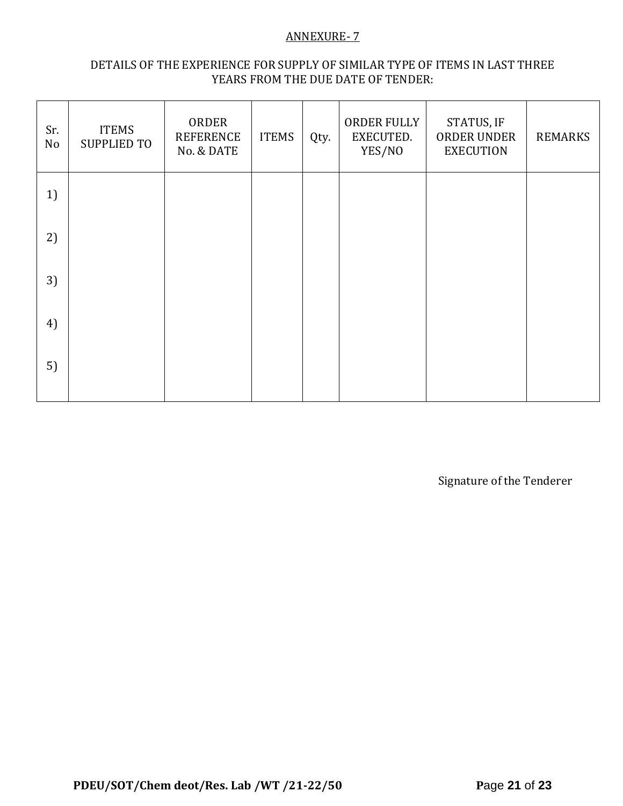## ANNEXURE- 7

## DETAILS OF THE EXPERIENCE FOR SUPPLY OF SIMILAR TYPE OF ITEMS IN LAST THREE YEARS FROM THE DUE DATE OF TENDER:

| Sr.<br>No | <b>ITEMS</b><br><b>SUPPLIED TO</b> | ORDER<br><b>REFERENCE</b><br>No. & DATE | <b>ITEMS</b> | Qty. | ORDER FULLY<br>EXECUTED.<br>YES/NO | STATUS, IF<br>ORDER UNDER<br><b>EXECUTION</b> | <b>REMARKS</b> |
|-----------|------------------------------------|-----------------------------------------|--------------|------|------------------------------------|-----------------------------------------------|----------------|
| 1)        |                                    |                                         |              |      |                                    |                                               |                |
| 2)        |                                    |                                         |              |      |                                    |                                               |                |
| 3)        |                                    |                                         |              |      |                                    |                                               |                |
| 4)        |                                    |                                         |              |      |                                    |                                               |                |
| 5)        |                                    |                                         |              |      |                                    |                                               |                |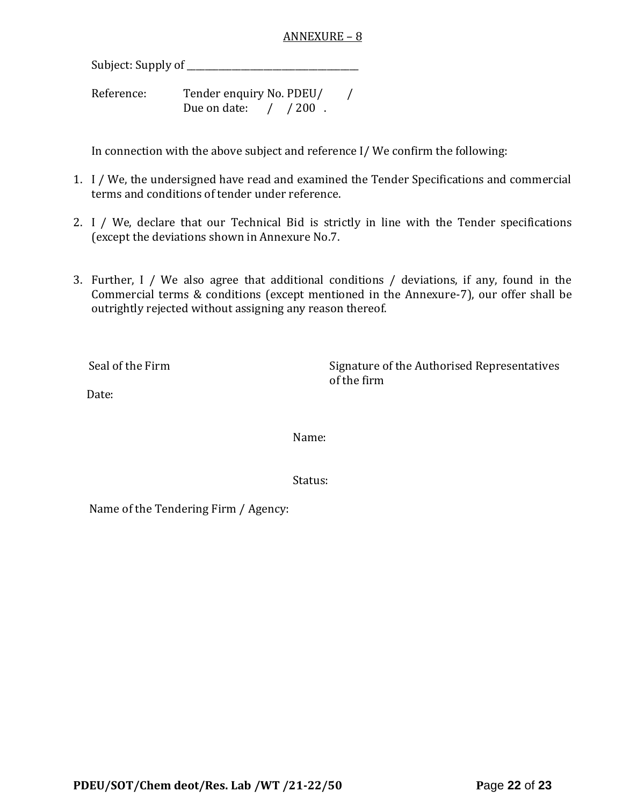#### ANNEXURE – 8

Subject: Supply of \_\_\_\_\_\_\_\_\_\_\_\_\_\_\_\_\_\_\_\_\_\_\_\_\_\_\_\_\_\_\_\_\_\_\_\_\_\_

Reference: Tender enquiry No. PDEU/ / Due on date: / / 200.

In connection with the above subject and reference I/ We confirm the following:

- 1. I / We, the undersigned have read and examined the Tender Specifications and commercial terms and conditions of tender under reference.
- 2. I / We, declare that our Technical Bid is strictly in line with the Tender specifications (except the deviations shown in Annexure No.7.
- 3. Further, I / We also agree that additional conditions / deviations, if any, found in the Commercial terms & conditions (except mentioned in the Annexure-7), our offer shall be outrightly rejected without assigning any reason thereof.

Seal of the Firm Signature of the Authorised Representatives of the firm

Date:

Name:

Status:

Name of the Tendering Firm / Agency: